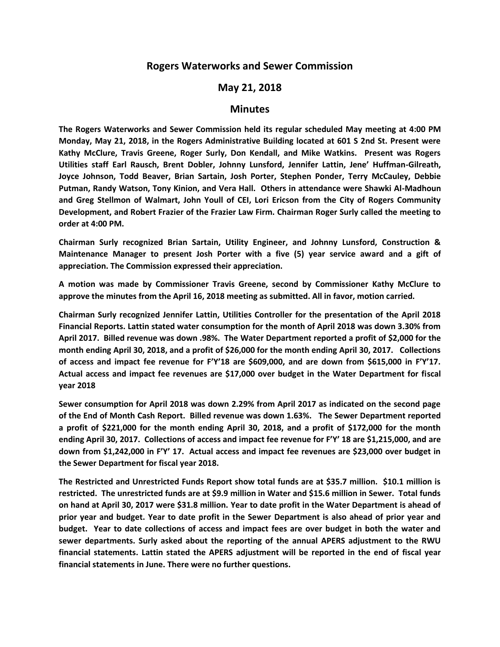## **Rogers Waterworks and Sewer Commission**

## **May 21, 2018**

## **Minutes**

**The Rogers Waterworks and Sewer Commission held its regular scheduled May meeting at 4:00 PM Monday, May 21, 2018, in the Rogers Administrative Building located at 601 S 2nd St. Present were Kathy McClure, Travis Greene, Roger Surly, Don Kendall, and Mike Watkins. Present was Rogers Utilities staff Earl Rausch, Brent Dobler, Johnny Lunsford, Jennifer Lattin, Jene' Huffman-Gilreath, Joyce Johnson, Todd Beaver, Brian Sartain, Josh Porter, Stephen Ponder, Terry McCauley, Debbie Putman, Randy Watson, Tony Kinion, and Vera Hall. Others in attendance were Shawki Al-Madhoun and Greg Stellmon of Walmart, John Youll of CEI, Lori Ericson from the City of Rogers Community Development, and Robert Frazier of the Frazier Law Firm. Chairman Roger Surly called the meeting to order at 4:00 PM.**

**Chairman Surly recognized Brian Sartain, Utility Engineer, and Johnny Lunsford, Construction & Maintenance Manager to present Josh Porter with a five (5) year service award and a gift of appreciation. The Commission expressed their appreciation.**

**A motion was made by Commissioner Travis Greene, second by Commissioner Kathy McClure to approve the minutes from the April 16, 2018 meeting as submitted. All in favor, motion carried.**

**Chairman Surly recognized Jennifer Lattin, Utilities Controller for the presentation of the April 2018 Financial Reports. Lattin stated water consumption for the month of April 2018 was down 3.30% from April 2017. Billed revenue was down .98%. The Water Department reported a profit of \$2,000 for the month ending April 30, 2018, and a profit of \$26,000 for the month ending April 30, 2017. Collections of access and impact fee revenue for F'Y'18 are \$609,000, and are down from \$615,000 in F'Y'17. Actual access and impact fee revenues are \$17,000 over budget in the Water Department for fiscal year 2018** 

**Sewer consumption for April 2018 was down 2.29% from April 2017 as indicated on the second page of the End of Month Cash Report. Billed revenue was down 1.63%. The Sewer Department reported a profit of \$221,000 for the month ending April 30, 2018, and a profit of \$172,000 for the month ending April 30, 2017. Collections of access and impact fee revenue for F'Y' 18 are \$1,215,000, and are down from \$1,242,000 in F'Y' 17. Actual access and impact fee revenues are \$23,000 over budget in the Sewer Department for fiscal year 2018.**

**The Restricted and Unrestricted Funds Report show total funds are at \$35.7 million. \$10.1 million is restricted. The unrestricted funds are at \$9.9 million in Water and \$15.6 million in Sewer. Total funds on hand at April 30, 2017 were \$31.8 million. Year to date profit in the Water Department is ahead of prior year and budget. Year to date profit in the Sewer Department is also ahead of prior year and budget. Year to date collections of access and impact fees are over budget in both the water and sewer departments. Surly asked about the reporting of the annual APERS adjustment to the RWU financial statements. Lattin stated the APERS adjustment will be reported in the end of fiscal year financial statements in June. There were no further questions.**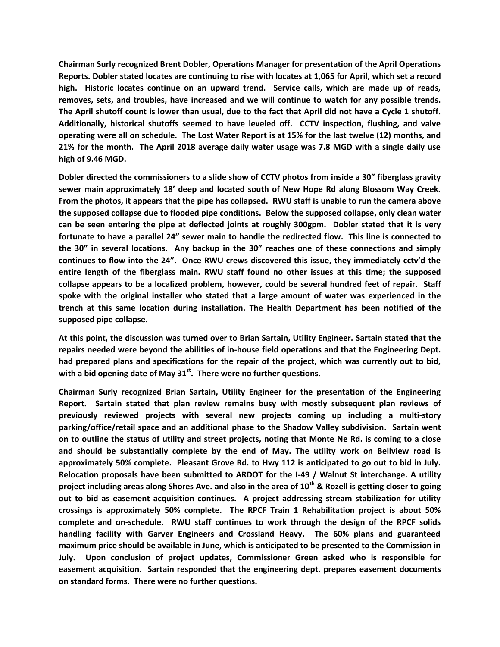**Chairman Surly recognized Brent Dobler, Operations Manager for presentation of the April Operations Reports. Dobler stated locates are continuing to rise with locates at 1,065 for April, which set a record high. Historic locates continue on an upward trend. Service calls, which are made up of reads, removes, sets, and troubles, have increased and we will continue to watch for any possible trends. The April shutoff count is lower than usual, due to the fact that April did not have a Cycle 1 shutoff. Additionally, historical shutoffs seemed to have leveled off. CCTV inspection, flushing, and valve operating were all on schedule. The Lost Water Report is at 15% for the last twelve (12) months, and 21% for the month. The April 2018 average daily water usage was 7.8 MGD with a single daily use high of 9.46 MGD.** 

**Dobler directed the commissioners to a slide show of CCTV photos from inside a 30" fiberglass gravity sewer main approximately 18' deep and located south of New Hope Rd along Blossom Way Creek. From the photos, it appears that the pipe has collapsed. RWU staff is unable to run the camera above the supposed collapse due to flooded pipe conditions. Below the supposed collapse, only clean water can be seen entering the pipe at deflected joints at roughly 300gpm. Dobler stated that it is very fortunate to have a parallel 24" sewer main to handle the redirected flow. This line is connected to the 30" in several locations. Any backup in the 30" reaches one of these connections and simply continues to flow into the 24". Once RWU crews discovered this issue, they immediately cctv'd the entire length of the fiberglass main. RWU staff found no other issues at this time; the supposed collapse appears to be a localized problem, however, could be several hundred feet of repair. Staff spoke with the original installer who stated that a large amount of water was experienced in the trench at this same location during installation. The Health Department has been notified of the supposed pipe collapse.** 

**At this point, the discussion was turned over to Brian Sartain, Utility Engineer. Sartain stated that the repairs needed were beyond the abilities of in-house field operations and that the Engineering Dept. had prepared plans and specifications for the repair of the project, which was currently out to bid, with a bid opening date of May 31st . There were no further questions.** 

**Chairman Surly recognized Brian Sartain, Utility Engineer for the presentation of the Engineering Report. Sartain stated that plan review remains busy with mostly subsequent plan reviews of previously reviewed projects with several new projects coming up including a multi-story parking/office/retail space and an additional phase to the Shadow Valley subdivision. Sartain went on to outline the status of utility and street projects, noting that Monte Ne Rd. is coming to a close and should be substantially complete by the end of May. The utility work on Bellview road is approximately 50% complete. Pleasant Grove Rd. to Hwy 112 is anticipated to go out to bid in July. Relocation proposals have been submitted to ARDOT for the I-49 / Walnut St interchange. A utility project including areas along Shores Ave. and also in the area of 10th & Rozell is getting closer to going out to bid as easement acquisition continues. A project addressing stream stabilization for utility crossings is approximately 50% complete. The RPCF Train 1 Rehabilitation project is about 50% complete and on-schedule. RWU staff continues to work through the design of the RPCF solids handling facility with Garver Engineers and Crossland Heavy. The 60% plans and guaranteed maximum price should be available in June, which is anticipated to be presented to the Commission in July. Upon conclusion of project updates, Commissioner Green asked who is responsible for easement acquisition. Sartain responded that the engineering dept. prepares easement documents on standard forms. There were no further questions.**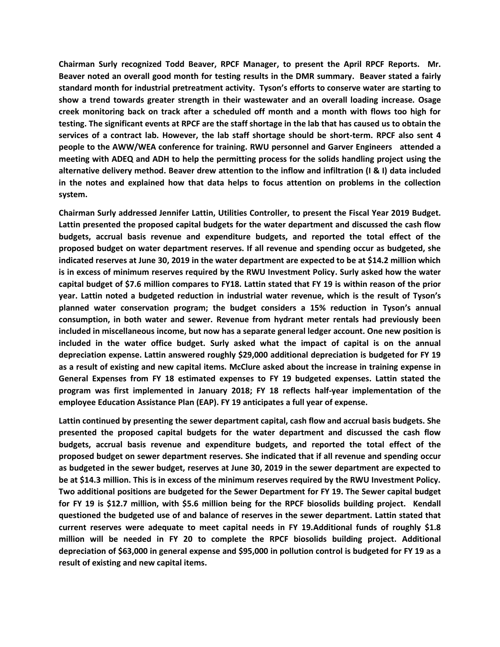**Chairman Surly recognized Todd Beaver, RPCF Manager, to present the April RPCF Reports. Mr. Beaver noted an overall good month for testing results in the DMR summary. Beaver stated a fairly standard month for industrial pretreatment activity. Tyson's efforts to conserve water are starting to show a trend towards greater strength in their wastewater and an overall loading increase. Osage creek monitoring back on track after a scheduled off month and a month with flows too high for testing. The significant events at RPCF are the staff shortage in the lab that has caused us to obtain the services of a contract lab. However, the lab staff shortage should be short-term. RPCF also sent 4 people to the AWW/WEA conference for training. RWU personnel and Garver Engineers attended a meeting with ADEQ and ADH to help the permitting process for the solids handling project using the alternative delivery method. Beaver drew attention to the inflow and infiltration (I & I) data included in the notes and explained how that data helps to focus attention on problems in the collection system.**

**Chairman Surly addressed Jennifer Lattin, Utilities Controller, to present the Fiscal Year 2019 Budget. Lattin presented the proposed capital budgets for the water department and discussed the cash flow budgets, accrual basis revenue and expenditure budgets, and reported the total effect of the proposed budget on water department reserves. If all revenue and spending occur as budgeted, she indicated reserves at June 30, 2019 in the water department are expected to be at \$14.2 million which is in excess of minimum reserves required by the RWU Investment Policy. Surly asked how the water capital budget of \$7.6 million compares to FY18. Lattin stated that FY 19 is within reason of the prior year. Lattin noted a budgeted reduction in industrial water revenue, which is the result of Tyson's planned water conservation program; the budget considers a 15% reduction in Tyson's annual consumption, in both water and sewer. Revenue from hydrant meter rentals had previously been included in miscellaneous income, but now has a separate general ledger account. One new position is included in the water office budget. Surly asked what the impact of capital is on the annual depreciation expense. Lattin answered roughly \$29,000 additional depreciation is budgeted for FY 19 as a result of existing and new capital items. McClure asked about the increase in training expense in General Expenses from FY 18 estimated expenses to FY 19 budgeted expenses. Lattin stated the program was first implemented in January 2018; FY 18 reflects half-year implementation of the employee Education Assistance Plan (EAP). FY 19 anticipates a full year of expense.** 

**Lattin continued by presenting the sewer department capital, cash flow and accrual basis budgets. She presented the proposed capital budgets for the water department and discussed the cash flow budgets, accrual basis revenue and expenditure budgets, and reported the total effect of the proposed budget on sewer department reserves. She indicated that if all revenue and spending occur as budgeted in the sewer budget, reserves at June 30, 2019 in the sewer department are expected to be at \$14.3 million. This is in excess of the minimum reserves required by the RWU Investment Policy. Two additional positions are budgeted for the Sewer Department for FY 19. The Sewer capital budget for FY 19 is \$12.7 million, with \$5.6 million being for the RPCF biosolids building project. Kendall questioned the budgeted use of and balance of reserves in the sewer department. Lattin stated that current reserves were adequate to meet capital needs in FY 19.Additional funds of roughly \$1.8 million will be needed in FY 20 to complete the RPCF biosolids building project. Additional depreciation of \$63,000 in general expense and \$95,000 in pollution control is budgeted for FY 19 as a result of existing and new capital items.**